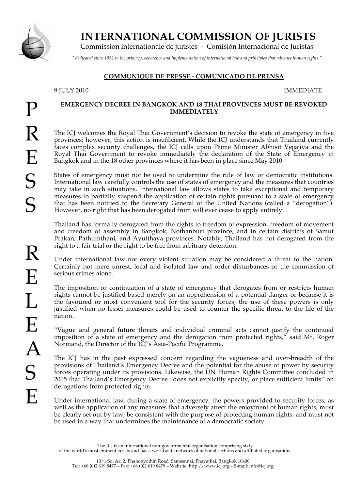

# **INTERNATIONAL COMMISSION OF JURISTS**

Commission internationale de juristes - Comisión Internacional de Juristas

*" dedicated since 1952 to the primacy, coherence and implementation of international law and principles that advance human rights "*

## **COMMUNIQUE DE PRESSE - COMUNICADO DE PRENSA**

## 9 JULY 2010 IMMEDIATE

#### **EMERGENCY DECREE IN BANGKOK AND 18 THAI PROVINCES MUST BE REVOKED IMMEDIATELY**

The ICJ welcomes the Royal Thai Government's decision to revoke the state of emergency in five provinces; however, this action is insufficient. While the ICJ understands that Thailand currently faces complex security challenges, the ICJ calls upon Prime Minister Abhisit Vejjajiva and the Royal Thai Government to revoke immediately the declaration of the State of Emergency in Bangkok and in the 18 other provinces where it has been in place since May 2010.

States of emergency must not be used to undermine the rule of law or democratic institutions. International law carefully controls the use of states of emergency and the measures that countries may take in such situations. International law allows states to take exceptional and temporary measures to partially suspend the application of certain rights pursuant to a state of emergency that has been notified to the Secretary General of the United Nations (called a "derogation"). However, no right that has been derogated from will ever cease to apply entirely.

Thailand has formally derogated from the rights to freedom of expression, freedom of movement and freedom of assembly in Bangkok, Nothanburi province, and in certain districts of Samut Prakan, Pathumthani, and Ayutthaya provinces. Notably, Thailand has not derogated from the right to a fair trial or the right to be free from arbitrary detention.

Under international law not every violent situation may be considered a threat to the nation. Certainly not mere unrest, local and isolated law and order disturbances or the commission of serious crimes alone.

The imposition or continuation of a state of emergency that derogates from or restricts human rights cannot be justified based merely on an apprehension of a potential danger or because it is the favoured or most convenient tool for the security forces; the use of these powers is only justified when no lesser measures could be used to counter the specific threat to the life of the nation.

"Vague and general future threats and individual criminal acts cannot justify the continued imposition of a state of emergency and the derogation from protected rights," said Mr. Roger Normand, the Director of the ICJ's Asia-Pacific Programme.

The ICJ has in the past expressed concern regarding the vagueness and over-breadth of the provisions of Thailand's Emergency Decree and the potential for the abuse of power by security forces operating under its provisions. Likewise, the UN Human Rights Committee concluded in 2005 that Thailand's Emergency Decree "does not explicitly specify, or place sufficient limits" on derogations from protected rights.

Under international law, during a state of emergency, the powers provided to security forces, as well as the application of any measures that adversely affect the enjoyment of human rights, must be clearly set out by law, be consistent with the purpose of protecting human rights, and must not be used in a way that undermines the maintenance of a democratic society.

The ICJ is an international non-governmental organisation comprising sixty of the world's most eminent jurists and has a worldwide network of national sections and affiliated organisations